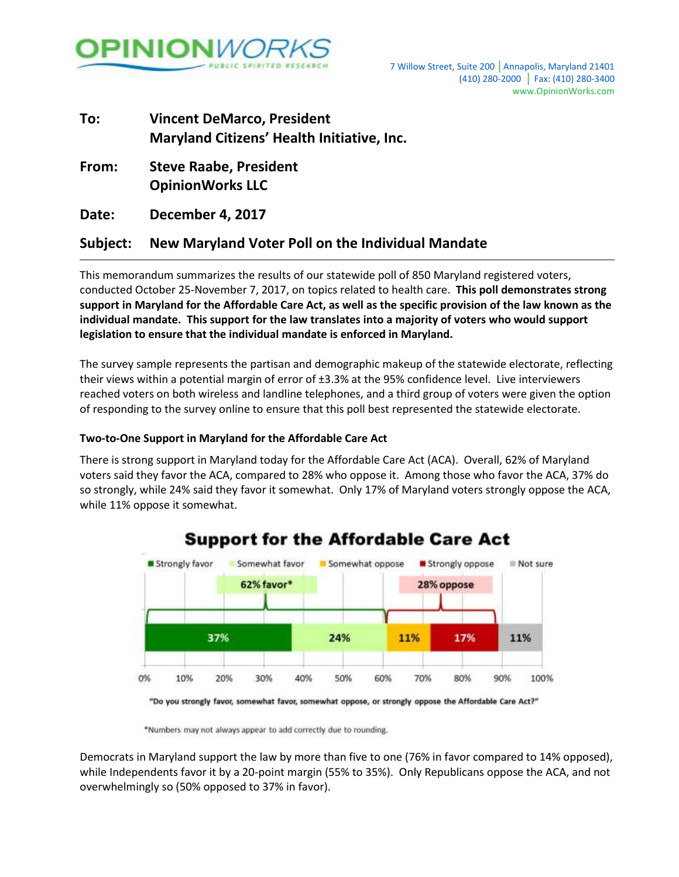

# **To: Vincent DeMarco, President Maryland Citizens' Health Initiative, Inc.**

**From: Steve Raabe, President OpinionWorks LLC**

**Date: December 4, 2017**

### **Subject: New Maryland Voter Poll on the Individual Mandate**

This memorandum summarizes the results of our statewide poll of 850 Maryland registered voters, conducted October 25-November 7, 2017, on topics related to health care. **This poll demonstrates strong support in Maryland for the Affordable Care Act, as well as the specific provision of the law known as the individual mandate. This support for the law translates into a majority of voters who would support legislation to ensure that the individual mandate is enforced in Maryland.**

The survey sample represents the partisan and demographic makeup of the statewide electorate, reflecting their views within a potential margin of error of ±3.3% at the 95% confidence level. Live interviewers reached voters on both wireless and landline telephones, and a third group of voters were given the option of responding to the survey online to ensure that this poll best represented the statewide electorate.

#### **Two-to-One Support in Maryland for the Affordable Care Act**

There is strong support in Maryland today for the Affordable Care Act (ACA). Overall, 62% of Maryland voters said they favor the ACA, compared to 28% who oppose it. Among those who favor the ACA, 37% do so strongly, while 24% said they favor it somewhat. Only 17% of Maryland voters strongly oppose the ACA, while 11% oppose it somewhat.



## **Support for the Affordable Care Act**

"Do you strongly favor, somewhat favor, somewhat oppose, or strongly oppose the Affordable Care Act?"

\*Numbers may not always appear to add correctly due to rounding.

Democrats in Maryland support the law by more than five to one (76% in favor compared to 14% opposed), while Independents favor it by a 20-point margin (55% to 35%). Only Republicans oppose the ACA, and not overwhelmingly so (50% opposed to 37% in favor).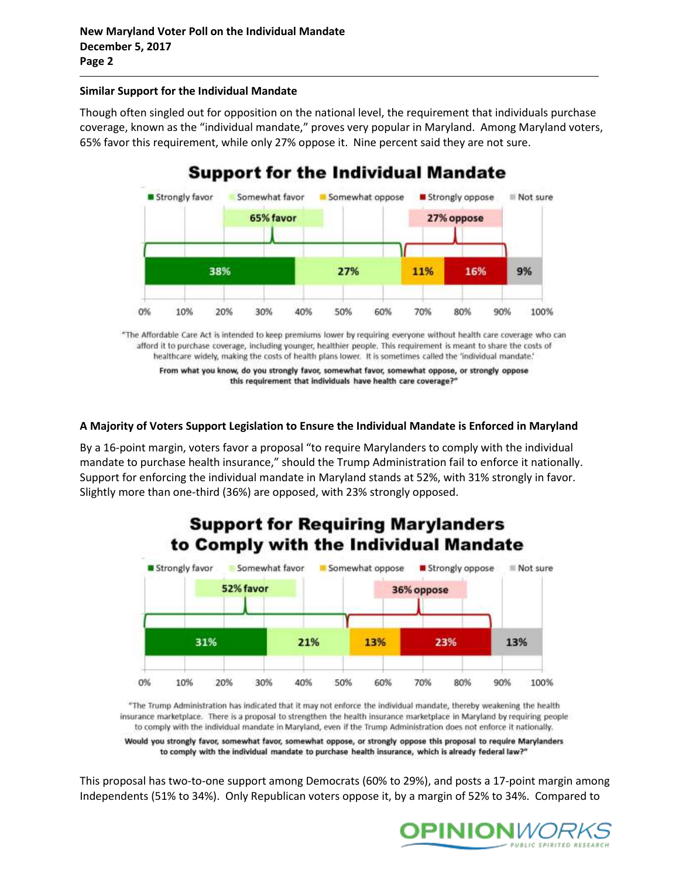#### **Similar Support for the Individual Mandate**

Though often singled out for opposition on the national level, the requirement that individuals purchase coverage, known as the "individual mandate," proves very popular in Maryland. Among Maryland voters, 65% favor this requirement, while only 27% oppose it. Nine percent said they are not sure.



"The Affordable Care Act is intended to keep premiums lower by requiring everyone without health care coverage who can afford it to purchase coverage, including younger, healthier people. This requirement is meant to share the costs of healthcare widely, making the costs of health plans lower. It is sometimes called the 'individual mandate.'

From what you know, do you strongly favor, somewhat favor, somewhat oppose, or strongly oppose this requirement that individuals have health care coverage?"

#### **A Majority of Voters Support Legislation to Ensure the Individual Mandate is Enforced in Maryland**

By a 16-point margin, voters favor a proposal "to require Marylanders to comply with the individual mandate to purchase health insurance," should the Trump Administration fail to enforce it nationally. Support for enforcing the individual mandate in Maryland stands at 52%, with 31% strongly in favor. Slightly more than one-third (36%) are opposed, with 23% strongly opposed.



"The Trump Administration has indicated that it may not enforce the individual mandate, thereby weakening the health insurance marketplace. There is a proposal to strengthen the health insurance marketplace in Maryland by requiring people to comply with the individual mandate in Maryland, even if the Trump Administration does not enforce it nationally.

Would you strongly favor, somewhat favor, somewhat oppose, or strongly oppose this proposal to require Marylanders to comply with the individual mandate to purchase health insurance, which is already federal law?"

This proposal has two-to-one support among Democrats (60% to 29%), and posts a 17-point margin among Independents (51% to 34%). Only Republican voters oppose it, by a margin of 52% to 34%. Compared to